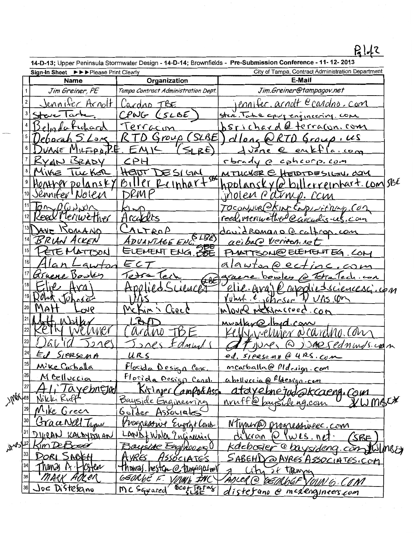## **P,lJt**

**14-D-13;** Upper Peninsula Stormwater Design- **14-D-14;** Brownfields- **Pre-Submission Conference -11-12- 2013** 

|         |    | Sign-In Sheet $\blacktriangleright\blacktriangleright\blacktriangleright$ Please Print Clearly |                                     | City of Tampa, Contract Administration Department                             |
|---------|----|------------------------------------------------------------------------------------------------|-------------------------------------|-------------------------------------------------------------------------------|
|         |    | <b>Name</b>                                                                                    | Organization                        | E-Mail                                                                        |
|         |    | Jim Greiner, PE                                                                                | Tampa Contract Administration Dept. | Jim.Greiner@tampagov.net                                                      |
|         |    | <u>Jenniter</u> Arnolt                                                                         | Cardro TBE                          | rennifer. arnolt ecardno, com                                                 |
|         |    | ۱۵ سەرم                                                                                        | CPWG (SLBE                          | stere. Take aport engineering, com                                            |
|         |    | chard                                                                                          | Terracon                            | 6 terracon. com<br>srichard                                                   |
|         |    |                                                                                                | SLBE<br>Group<br>7)                 | $0$ roup, US<br>cllone h                                                      |
|         |    | $1 - 0$                                                                                        | $R\bar{t}$                          | eri<br>$a \cdot \omega_{\infty}$<br>Jāne                                      |
|         |    | RYAN BRADY                                                                                     | CPH                                 | rbrady<br>cohcorp.com<br>$\curvearrowright$                                   |
|         |    | VIVE<br><b>ILC KER</b>                                                                         | HEIDL<br>DESIGN                     | MTUCKER @ HEIDTDESIGIU, COM                                                   |
|         |    | tonther polansk)                                                                               | <b>SBC</b><br>Biller Reinhart       | hpolanskyfe billerreinhart.com/sBE                                            |
|         |    | Senniter' Nolen                                                                                | JRIM P                              | inolen Parmp. can                                                             |
|         |    | U(T)                                                                                           |                                     | TOCONNUR CKINC ENDINITIONS CON                                                |
|         |    | l'enwether                                                                                     | radets                              | reed, meruve theo Carculis-us.com                                             |
|         |    | NOMANO                                                                                         | TROP                                | david Romano @ caltrop.com                                                    |
|         |    | BRYAN ACKEN                                                                                    | SLE<br>ADUANTAGE ENC.               | acibald Verromnet                                                             |
|         |    | ETE N<br>LATTSON                                                                               | <b>SPE</b><br>ELEMENT ENG.          | PMATTSON@ELEMENTEG.COM                                                        |
|         | 16 |                                                                                                | E c -                               | alawton@ectinc.com                                                            |
|         |    | Giraene Dower                                                                                  | Tech                                | Tetralech con<br>$D$ owley                                                    |
|         |    |                                                                                                |                                     | avoncesciencescicon<br>AVA                                                    |
|         |    | 56cm                                                                                           |                                     | $m_{\text{min}}$ , $\epsilon$ , $m_{\text{max}}$ , $\gamma$ $\upsilon$ $\eta$ |
|         |    | on6                                                                                            | McKin S Liece                       | Overe<br>MCKIMCroec.com                                                       |
|         |    |                                                                                                |                                     | id Cow                                                                        |
|         |    |                                                                                                | ND.                                 | IEN DO COUNTINUS CON                                                          |
|         |    |                                                                                                |                                     | SARS COMMUS.com                                                               |
|         | 24 | SIERSEMA                                                                                       | URS                                 | ed. SICRSEMA @ 4RS. COM                                                       |
|         | 25 | Mike Cashalla                                                                                  | <u>Flosida Design Conc</u>          | mcarballa@pldesign.com                                                        |
|         | 26 | <u>M Delluccia</u>                                                                             | Florida Pesign Const.               | abelluccia @ flaesign.com                                                     |
|         | 27 | <u><i><u>Tayebnejad</u></i></u>                                                                | Kiringer Campo&Assp                 | ataye.bnejud@kcaeng.Com                                                       |
| MOV28   |    | Nikki Ruff                                                                                     | Bayside Engineering                 | nruff@baysideng.com<br>KMWACX                                                 |
|         |    | Nike Green                                                                                     | <u>Golder Associates</u>            |                                                                               |
|         |    | Grace Nall Type                                                                                | Progressive Engrave Const           | NTurina progressivec.com                                                      |
|         |    | DIVRAN KALAYISSIAN                                                                             | LAND + WAR ? nginerial              | WLS. net<br>dikroin<br>∾<br>SBE                                               |
| J 13/32 |    | sim DeBosse                                                                                    | Boyside Engineers                   | kdebosier<br>@baysideng.com Wilms&                                            |
|         |    | DORI SABEH                                                                                     | HSSOCIATES<br>AVRES.                | SABEHD @ AYRES ASSOCIATES.COM                                                 |
|         |    | hands 12. Histen                                                                               | <u>Thomas.hesten@tampagalneit</u>   | City of Tanza                                                                 |
|         | 35 | MARK ADLER                                                                                     | GEORGE F. VOUWE INC                 | AOLER @ GEMUDEF                                                               |
|         | 36 | Joe Distefano                                                                                  | MC Sarrared Good Testas             | <u>distefano</u> @ mcaengineers.com                                           |